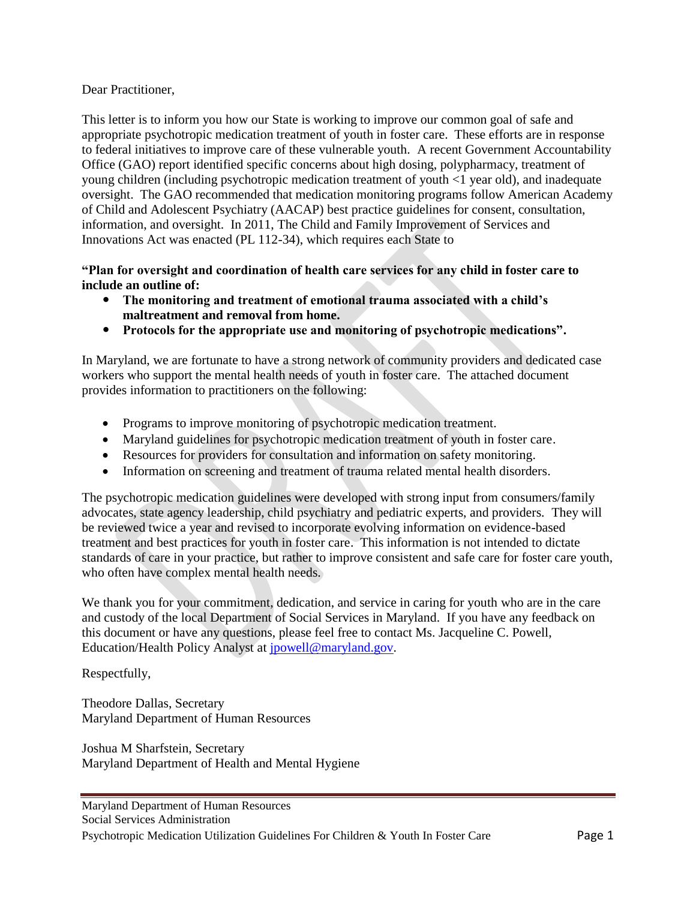#### Dear Practitioner,

This letter is to inform you how our State is working to improve our common goal of safe and appropriate psychotropic medication treatment of youth in foster care. These efforts are in response to federal initiatives to improve care of these vulnerable youth. A recent Government Accountability Office (GAO) report identified specific concerns about high dosing, polypharmacy, treatment of young children (including psychotropic medication treatment of youth <1 year old), and inadequate oversight. The GAO recommended that medication monitoring programs follow American Academy of Child and Adolescent Psychiatry (AACAP) best practice guidelines for consent, consultation, information, and oversight. In 2011, The Child and Family Improvement of Services and Innovations Act was enacted (PL 112-34), which requires each State to

#### **"Plan for oversight and coordination of health care services for any child in foster care to include an outline of:**

- **The monitoring and treatment of emotional trauma associated with a child's maltreatment and removal from home.**
- **Protocols for the appropriate use and monitoring of psychotropic medications".**

In Maryland, we are fortunate to have a strong network of community providers and dedicated case workers who support the mental health needs of youth in foster care. The attached document provides information to practitioners on the following:

- Programs to improve monitoring of psychotropic medication treatment.
- Maryland guidelines for psychotropic medication treatment of youth in foster care.
- Resources for providers for consultation and information on safety monitoring.
- Information on screening and treatment of trauma related mental health disorders.

The psychotropic medication guidelines were developed with strong input from consumers/family advocates, state agency leadership, child psychiatry and pediatric experts, and providers. They will be reviewed twice a year and revised to incorporate evolving information on evidence-based treatment and best practices for youth in foster care. This information is not intended to dictate standards of care in your practice, but rather to improve consistent and safe care for foster care youth, who often have complex mental health needs.

We thank you for your commitment, dedication, and service in caring for youth who are in the care and custody of the local Department of Social Services in Maryland. If you have any feedback on this document or have any questions, please feel free to contact Ms. Jacqueline C. Powell, Education/Health Policy Analyst at [jpowell@maryland.gov.](mailto:jpowell@maryland.gov)

Respectfully,

Theodore Dallas, Secretary Maryland Department of Human Resources

Joshua M Sharfstein, Secretary Maryland Department of Health and Mental Hygiene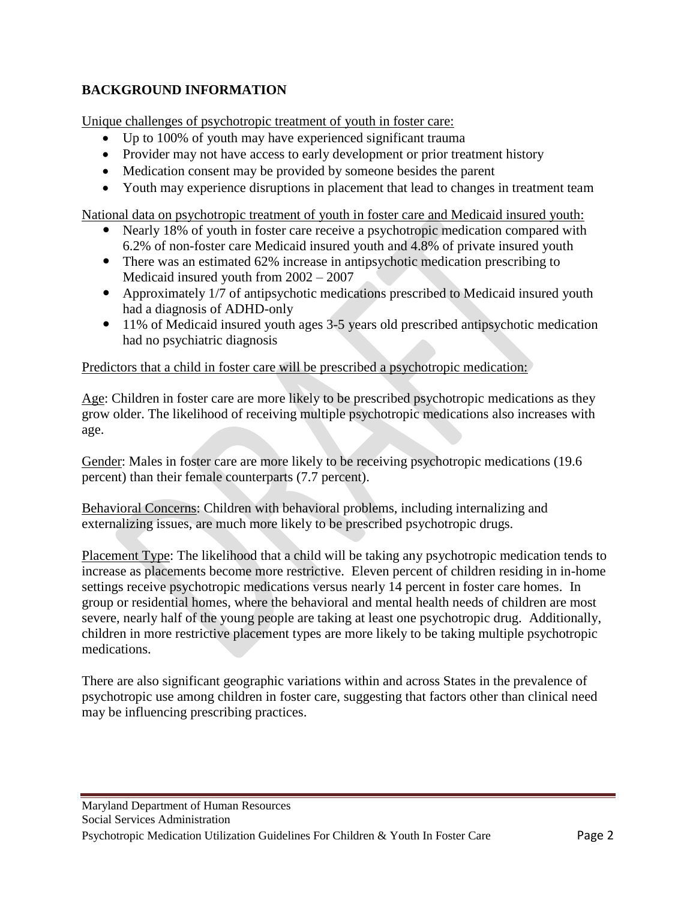# **BACKGROUND INFORMATION**

Unique challenges of psychotropic treatment of youth in foster care:

- Up to 100% of youth may have experienced significant trauma
- Provider may not have access to early development or prior treatment history
- Medication consent may be provided by someone besides the parent
- Youth may experience disruptions in placement that lead to changes in treatment team

National data on psychotropic treatment of youth in foster care and Medicaid insured youth:

- Nearly 18% of youth in foster care receive a psychotropic medication compared with 6.2% of non-foster care Medicaid insured youth and 4.8% of private insured youth
- There was an estimated 62% increase in antipsychotic medication prescribing to Medicaid insured youth from 2002 – 2007
- Approximately 1/7 of antipsychotic medications prescribed to Medicaid insured youth had a diagnosis of ADHD-only
- 11% of Medicaid insured youth ages 3-5 years old prescribed antipsychotic medication had no psychiatric diagnosis

Predictors that a child in foster care will be prescribed a psychotropic medication:

Age: Children in foster care are more likely to be prescribed psychotropic medications as they grow older. The likelihood of receiving multiple psychotropic medications also increases with age.

Gender: Males in foster care are more likely to be receiving psychotropic medications (19.6 percent) than their female counterparts (7.7 percent).

Behavioral Concerns: Children with behavioral problems, including internalizing and externalizing issues, are much more likely to be prescribed psychotropic drugs.

Placement Type: The likelihood that a child will be taking any psychotropic medication tends to increase as placements become more restrictive. Eleven percent of children residing in in-home settings receive psychotropic medications versus nearly 14 percent in foster care homes. In group or residential homes, where the behavioral and mental health needs of children are most severe, nearly half of the young people are taking at least one psychotropic drug. Additionally, children in more restrictive placement types are more likely to be taking multiple psychotropic medications.

There are also significant geographic variations within and across States in the prevalence of psychotropic use among children in foster care, suggesting that factors other than clinical need may be influencing prescribing practices.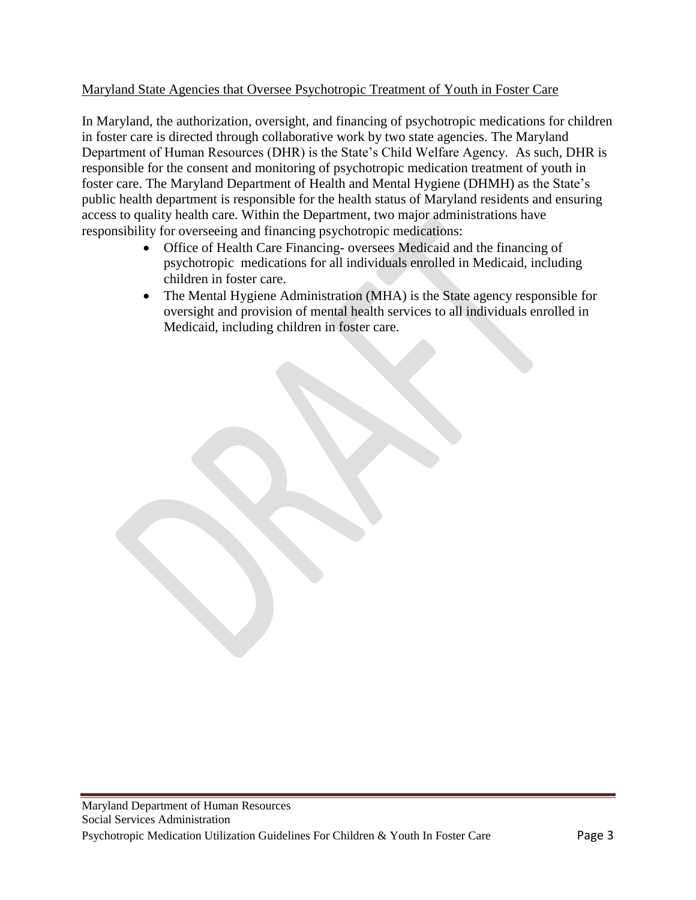### Maryland State Agencies that Oversee Psychotropic Treatment of Youth in Foster Care

In Maryland, the authorization, oversight, and financing of psychotropic medications for children in foster care is directed through collaborative work by two state agencies. The Maryland Department of Human Resources (DHR) is the State's Child Welfare Agency. As such, DHR is responsible for the consent and monitoring of psychotropic medication treatment of youth in foster care. The Maryland Department of Health and Mental Hygiene (DHMH) as the State's public health department is responsible for the health status of Maryland residents and ensuring access to quality health care. Within the Department, two major administrations have responsibility for overseeing and financing psychotropic medications:

- Office of Health Care Financing- oversees Medicaid and the financing of psychotropic medications for all individuals enrolled in Medicaid, including children in foster care.
- The Mental Hygiene Administration (MHA) is the State agency responsible for oversight and provision of mental health services to all individuals enrolled in Medicaid, including children in foster care.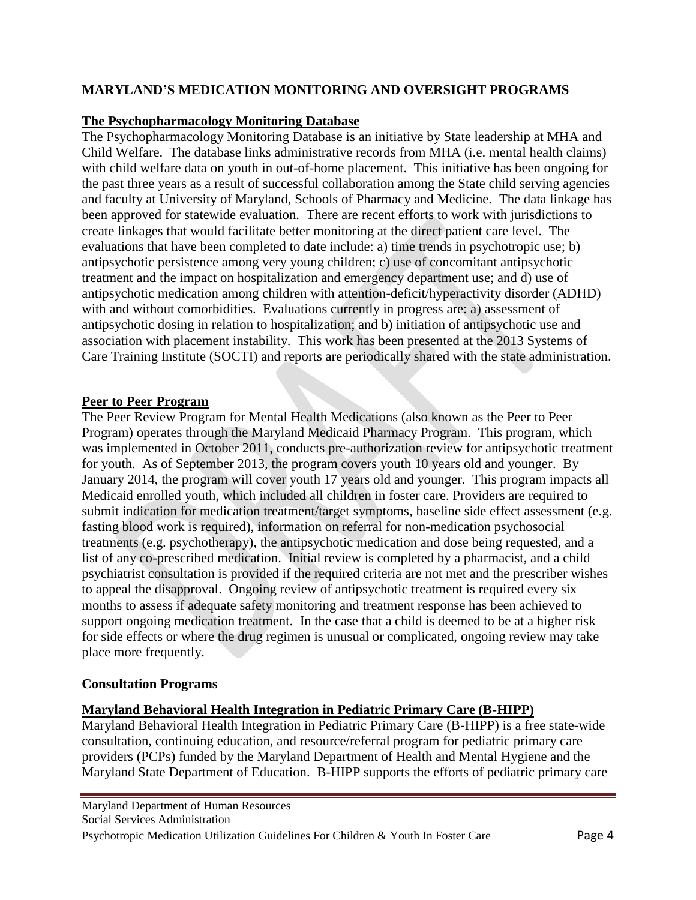# **MARYLAND'S MEDICATION MONITORING AND OVERSIGHT PROGRAMS**

### **The Psychopharmacology Monitoring Database**

The Psychopharmacology Monitoring Database is an initiative by State leadership at MHA and Child Welfare. The database links administrative records from MHA (i.e. mental health claims) with child welfare data on youth in out-of-home placement. This initiative has been ongoing for the past three years as a result of successful collaboration among the State child serving agencies and faculty at University of Maryland, Schools of Pharmacy and Medicine. The data linkage has been approved for statewide evaluation. There are recent efforts to work with jurisdictions to create linkages that would facilitate better monitoring at the direct patient care level. The evaluations that have been completed to date include: a) time trends in psychotropic use; b) antipsychotic persistence among very young children; c) use of concomitant antipsychotic treatment and the impact on hospitalization and emergency department use; and d) use of antipsychotic medication among children with attention-deficit/hyperactivity disorder (ADHD) with and without comorbidities. Evaluations currently in progress are: a) assessment of antipsychotic dosing in relation to hospitalization; and b) initiation of antipsychotic use and association with placement instability. This work has been presented at the 2013 Systems of Care Training Institute (SOCTI) and reports are periodically shared with the state administration.

### **Peer to Peer Program**

The Peer Review Program for Mental Health Medications (also known as the Peer to Peer Program) operates through the Maryland Medicaid Pharmacy Program. This program, which was implemented in October 2011, conducts pre-authorization review for antipsychotic treatment for youth. As of September 2013, the program covers youth 10 years old and younger. By January 2014, the program will cover youth 17 years old and younger. This program impacts all Medicaid enrolled youth, which included all children in foster care. Providers are required to submit indication for medication treatment/target symptoms, baseline side effect assessment (e.g. fasting blood work is required), information on referral for non-medication psychosocial treatments (e.g. psychotherapy), the antipsychotic medication and dose being requested, and a list of any co-prescribed medication. Initial review is completed by a pharmacist, and a child psychiatrist consultation is provided if the required criteria are not met and the prescriber wishes to appeal the disapproval. Ongoing review of antipsychotic treatment is required every six months to assess if adequate safety monitoring and treatment response has been achieved to support ongoing medication treatment. In the case that a child is deemed to be at a higher risk for side effects or where the drug regimen is unusual or complicated, ongoing review may take place more frequently.

#### **Consultation Programs**

## **Maryland Behavioral Health Integration in Pediatric Primary Care (B-HIPP)**

Maryland Behavioral Health Integration in Pediatric Primary Care (B-HIPP) is a free state-wide consultation, continuing education, and resource/referral program for pediatric primary care providers (PCPs) funded by the Maryland Department of Health and Mental Hygiene and the Maryland State Department of Education. B-HIPP supports the efforts of pediatric primary care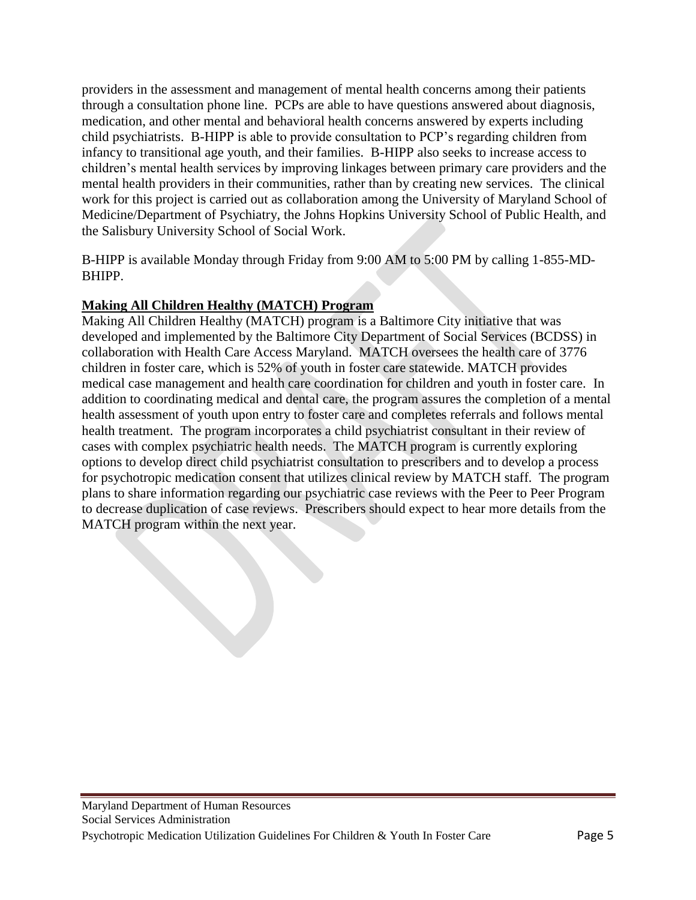providers in the assessment and management of mental health concerns among their patients through a consultation phone line. PCPs are able to have questions answered about diagnosis, medication, and other mental and behavioral health concerns answered by experts including child psychiatrists. B-HIPP is able to provide consultation to PCP's regarding children from infancy to transitional age youth, and their families. B-HIPP also seeks to increase access to children's mental health services by improving linkages between primary care providers and the mental health providers in their communities, rather than by creating new services. The clinical work for this project is carried out as collaboration among the University of Maryland School of Medicine/Department of Psychiatry, the Johns Hopkins University School of Public Health, and the Salisbury University School of Social Work.

B-HIPP is available Monday through Friday from 9:00 AM to 5:00 PM by calling 1-855-MD-BHIPP.

# **Making All Children Healthy (MATCH) Program**

Making All Children Healthy (MATCH) program is a Baltimore City initiative that was developed and implemented by the Baltimore City Department of Social Services (BCDSS) in collaboration with Health Care Access Maryland. MATCH oversees the health care of 3776 children in foster care, which is 52% of youth in foster care statewide. MATCH provides medical case management and health care coordination for children and youth in foster care. In addition to coordinating medical and dental care, the program assures the completion of a mental health assessment of youth upon entry to foster care and completes referrals and follows mental health treatment. The program incorporates a child psychiatrist consultant in their review of cases with complex psychiatric health needs. The MATCH program is currently exploring options to develop direct child psychiatrist consultation to prescribers and to develop a process for psychotropic medication consent that utilizes clinical review by MATCH staff. The program plans to share information regarding our psychiatric case reviews with the Peer to Peer Program to decrease duplication of case reviews. Prescribers should expect to hear more details from the MATCH program within the next year.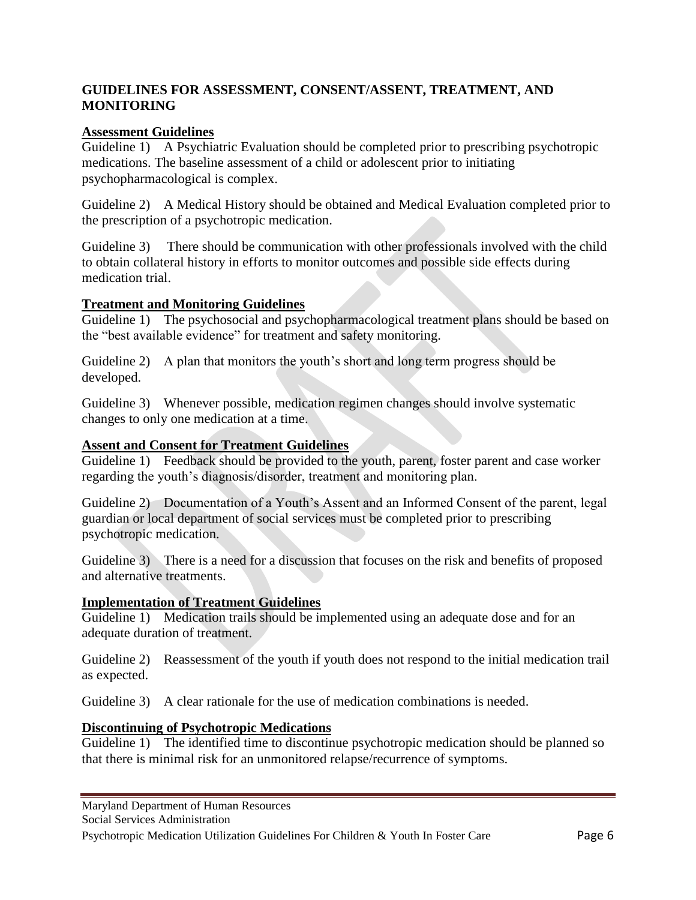## **GUIDELINES FOR ASSESSMENT, CONSENT/ASSENT, TREATMENT, AND MONITORING**

#### **Assessment Guidelines**

Guideline 1) A Psychiatric Evaluation should be completed prior to prescribing psychotropic medications. The baseline assessment of a child or adolescent prior to initiating psychopharmacological is complex.

Guideline 2) A Medical History should be obtained and Medical Evaluation completed prior to the prescription of a psychotropic medication.

Guideline 3) There should be communication with other professionals involved with the child to obtain collateral history in efforts to monitor outcomes and possible side effects during medication trial.

## **Treatment and Monitoring Guidelines**

Guideline 1) The psychosocial and psychopharmacological treatment plans should be based on the "best available evidence" for treatment and safety monitoring.

Guideline 2) A plan that monitors the youth's short and long term progress should be developed.

Guideline 3) Whenever possible, medication regimen changes should involve systematic changes to only one medication at a time.

# **Assent and Consent for Treatment Guidelines**

Guideline 1) Feedback should be provided to the youth, parent, foster parent and case worker regarding the youth's diagnosis/disorder, treatment and monitoring plan.

Guideline 2) Documentation of a Youth's Assent and an Informed Consent of the parent, legal guardian or local department of social services must be completed prior to prescribing psychotropic medication.

Guideline 3) There is a need for a discussion that focuses on the risk and benefits of proposed and alternative treatments.

## **Implementation of Treatment Guidelines**

Guideline 1) Medication trails should be implemented using an adequate dose and for an adequate duration of treatment.

Guideline 2) Reassessment of the youth if youth does not respond to the initial medication trail as expected.

Guideline 3) A clear rationale for the use of medication combinations is needed.

## **Discontinuing of Psychotropic Medications**

Guideline 1) The identified time to discontinue psychotropic medication should be planned so that there is minimal risk for an unmonitored relapse/recurrence of symptoms.

Maryland Department of Human Resources

Social Services Administration

Psychotropic Medication Utilization Guidelines For Children & Youth In Foster Care Page 6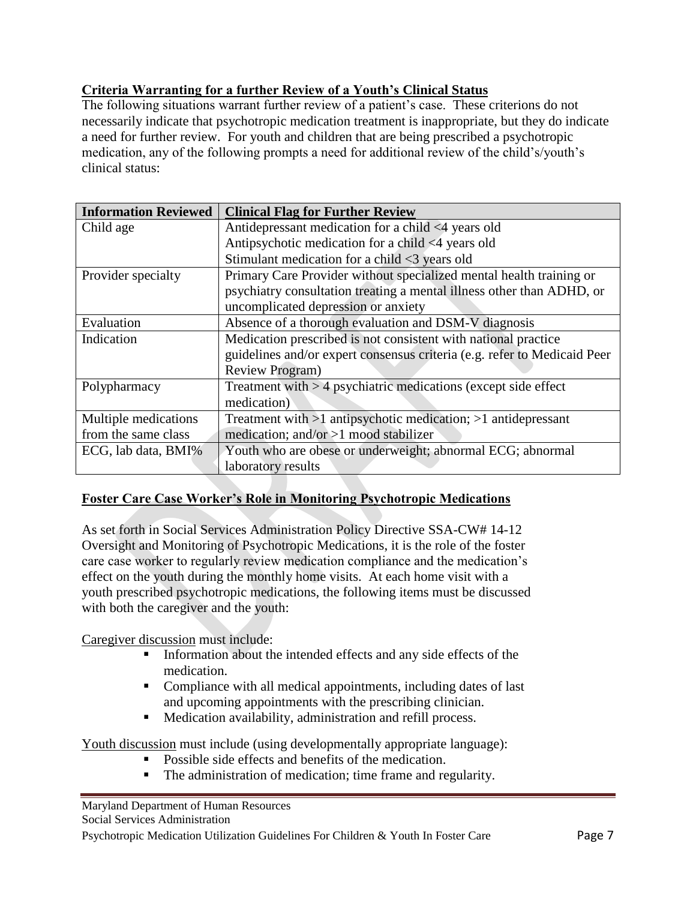# **Criteria Warranting for a further Review of a Youth's Clinical Status**

The following situations warrant further review of a patient's case. These criterions do not necessarily indicate that psychotropic medication treatment is inappropriate, but they do indicate a need for further review. For youth and children that are being prescribed a psychotropic medication, any of the following prompts a need for additional review of the child's/youth's clinical status:

| <b>Information Reviewed</b> | <b>Clinical Flag for Further Review</b>                                  |
|-----------------------------|--------------------------------------------------------------------------|
| Child age                   | Antidepressant medication for a child <4 years old                       |
|                             | Antipsychotic medication for a child <4 years old                        |
|                             | Stimulant medication for a child $\leq$ 3 years old                      |
| Provider specialty          | Primary Care Provider without specialized mental health training or      |
|                             | psychiatry consultation treating a mental illness other than ADHD, or    |
|                             | uncomplicated depression or anxiety                                      |
| Evaluation                  | Absence of a thorough evaluation and DSM-V diagnosis                     |
| Indication                  | Medication prescribed is not consistent with national practice           |
|                             | guidelines and/or expert consensus criteria (e.g. refer to Medicaid Peer |
|                             | <b>Review Program</b> )                                                  |
| Polypharmacy                | Treatment with > 4 psychiatric medications (except side effect           |
|                             | medication)                                                              |
| Multiple medications        | Treatment with $>1$ antipsychotic medication; $>1$ antidepressant        |
| from the same class         | medication; and/or $>1$ mood stabilizer                                  |
| ECG, lab data, BMI%         | Youth who are obese or underweight; abnormal ECG; abnormal               |
|                             | laboratory results                                                       |

## **Foster Care Case Worker's Role in Monitoring Psychotropic Medications**

As set forth in Social Services Administration Policy Directive SSA-CW# 14-12 Oversight and Monitoring of Psychotropic Medications, it is the role of the foster care case worker to regularly review medication compliance and the medication's effect on the youth during the monthly home visits. At each home visit with a youth prescribed psychotropic medications, the following items must be discussed with both the caregiver and the youth:

Caregiver discussion must include:

- Information about the intended effects and any side effects of the medication.
- Compliance with all medical appointments, including dates of last and upcoming appointments with the prescribing clinician.
- Medication availability, administration and refill process.

Youth discussion must include (using developmentally appropriate language):

- Possible side effects and benefits of the medication.
- The administration of medication; time frame and regularity.

Maryland Department of Human Resources Social Services Administration

Psychotropic Medication Utilization Guidelines For Children & Youth In Foster Care Page 7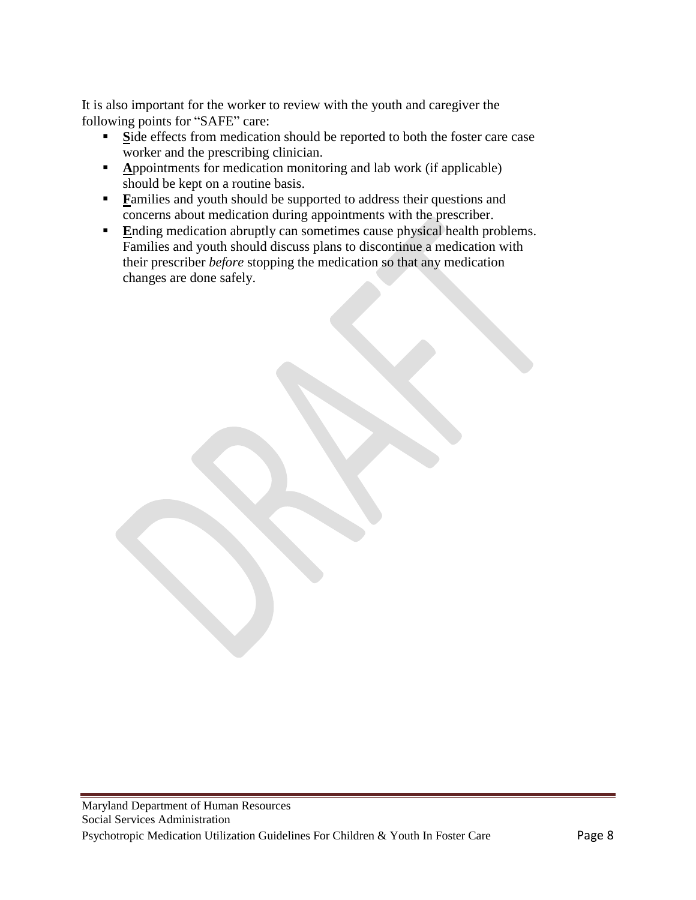It is also important for the worker to review with the youth and caregiver the following points for "SAFE" care:

- **Side effects from medication should be reported to both the foster care case** worker and the prescribing clinician.
- **Appointments for medication monitoring and lab work (if applicable)** should be kept on a routine basis.
- **Families and youth should be supported to address their questions and** concerns about medication during appointments with the prescriber.
- **E**nding medication abruptly can sometimes cause physical health problems. Families and youth should discuss plans to discontinue a medication with their prescriber *before* stopping the medication so that any medication changes are done safely.

Maryland Department of Human Resources Social Services Administration Psychotropic Medication Utilization Guidelines For Children & Youth In Foster Care Page 8